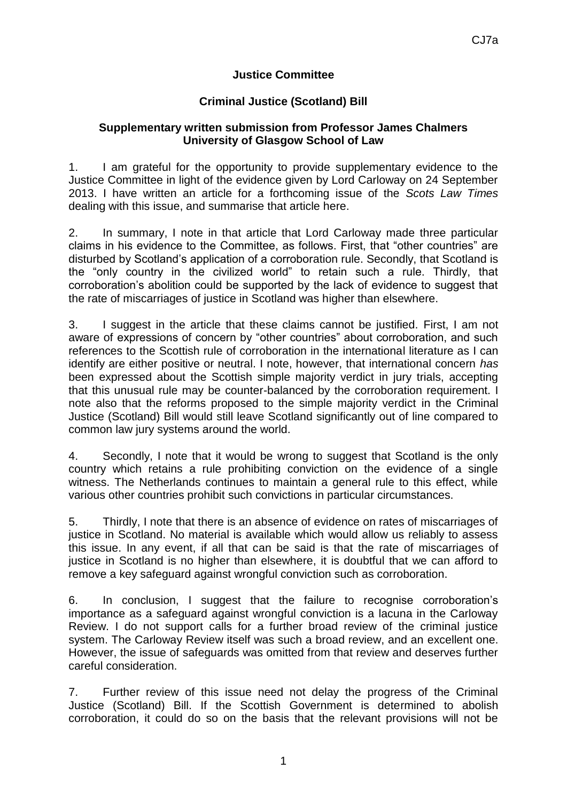# **Justice Committee**

# **Criminal Justice (Scotland) Bill**

### **Supplementary written submission from Professor James Chalmers University of Glasgow School of Law**

1. I am grateful for the opportunity to provide supplementary evidence to the Justice Committee in light of the evidence given by Lord Carloway on 24 September 2013. I have written an article for a forthcoming issue of the *Scots Law Times*  dealing with this issue, and summarise that article here.

2. In summary, I note in that article that Lord Carloway made three particular claims in his evidence to the Committee, as follows. First, that "other countries" are disturbed by Scotland's application of a corroboration rule. Secondly, that Scotland is the "only country in the civilized world" to retain such a rule. Thirdly, that corroboration's abolition could be supported by the lack of evidence to suggest that the rate of miscarriages of justice in Scotland was higher than elsewhere.

3. I suggest in the article that these claims cannot be justified. First, I am not aware of expressions of concern by "other countries" about corroboration, and such references to the Scottish rule of corroboration in the international literature as I can identify are either positive or neutral. I note, however, that international concern *has*  been expressed about the Scottish simple majority verdict in jury trials, accepting that this unusual rule may be counter-balanced by the corroboration requirement. I note also that the reforms proposed to the simple majority verdict in the Criminal Justice (Scotland) Bill would still leave Scotland significantly out of line compared to common law jury systems around the world.

4. Secondly, I note that it would be wrong to suggest that Scotland is the only country which retains a rule prohibiting conviction on the evidence of a single witness. The Netherlands continues to maintain a general rule to this effect, while various other countries prohibit such convictions in particular circumstances.

5. Thirdly, I note that there is an absence of evidence on rates of miscarriages of justice in Scotland. No material is available which would allow us reliably to assess this issue. In any event, if all that can be said is that the rate of miscarriages of justice in Scotland is no higher than elsewhere, it is doubtful that we can afford to remove a key safeguard against wrongful conviction such as corroboration.

6. In conclusion, I suggest that the failure to recognise corroboration's importance as a safeguard against wrongful conviction is a lacuna in the Carloway Review. I do not support calls for a further broad review of the criminal justice system. The Carloway Review itself was such a broad review, and an excellent one. However, the issue of safeguards was omitted from that review and deserves further careful consideration.

7. Further review of this issue need not delay the progress of the Criminal Justice (Scotland) Bill. If the Scottish Government is determined to abolish corroboration, it could do so on the basis that the relevant provisions will not be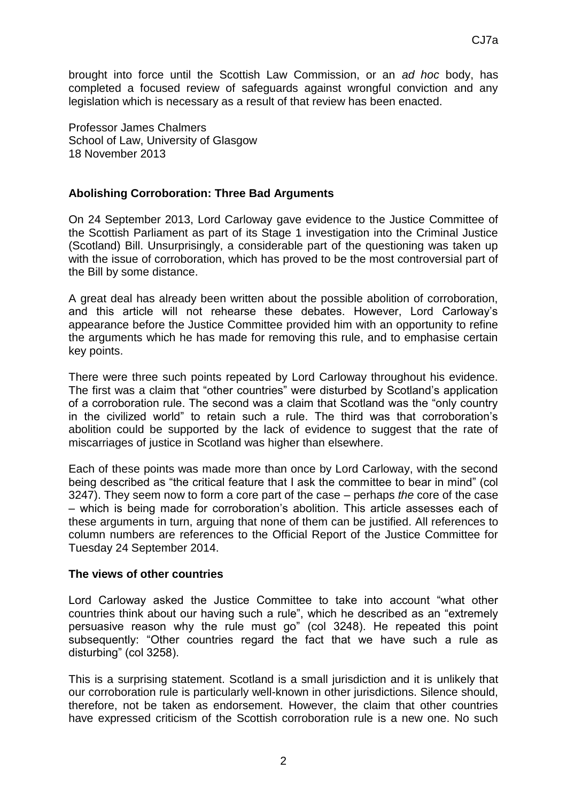brought into force until the Scottish Law Commission, or an *ad hoc* body, has completed a focused review of safeguards against wrongful conviction and any legislation which is necessary as a result of that review has been enacted.

Professor James Chalmers School of Law, University of Glasgow 18 November 2013

## **Abolishing Corroboration: Three Bad Arguments**

On 24 September 2013, Lord Carloway gave evidence to the Justice Committee of the Scottish Parliament as part of its Stage 1 investigation into the Criminal Justice (Scotland) Bill. Unsurprisingly, a considerable part of the questioning was taken up with the issue of corroboration, which has proved to be the most controversial part of the Bill by some distance.

A great deal has already been written about the possible abolition of corroboration, and this article will not rehearse these debates. However, Lord Carloway's appearance before the Justice Committee provided him with an opportunity to refine the arguments which he has made for removing this rule, and to emphasise certain key points.

There were three such points repeated by Lord Carloway throughout his evidence. The first was a claim that "other countries" were disturbed by Scotland's application of a corroboration rule. The second was a claim that Scotland was the "only country in the civilized world" to retain such a rule. The third was that corroboration's abolition could be supported by the lack of evidence to suggest that the rate of miscarriages of justice in Scotland was higher than elsewhere.

Each of these points was made more than once by Lord Carloway, with the second being described as "the critical feature that I ask the committee to bear in mind" (col 3247). They seem now to form a core part of the case – perhaps *the* core of the case – which is being made for corroboration's abolition. This article assesses each of these arguments in turn, arguing that none of them can be justified. All references to column numbers are references to the Official Report of the Justice Committee for Tuesday 24 September 2014.

### **The views of other countries**

Lord Carloway asked the Justice Committee to take into account "what other countries think about our having such a rule", which he described as an "extremely persuasive reason why the rule must go" (col 3248). He repeated this point subsequently: "Other countries regard the fact that we have such a rule as disturbing" (col 3258).

This is a surprising statement. Scotland is a small jurisdiction and it is unlikely that our corroboration rule is particularly well-known in other jurisdictions. Silence should, therefore, not be taken as endorsement. However, the claim that other countries have expressed criticism of the Scottish corroboration rule is a new one. No such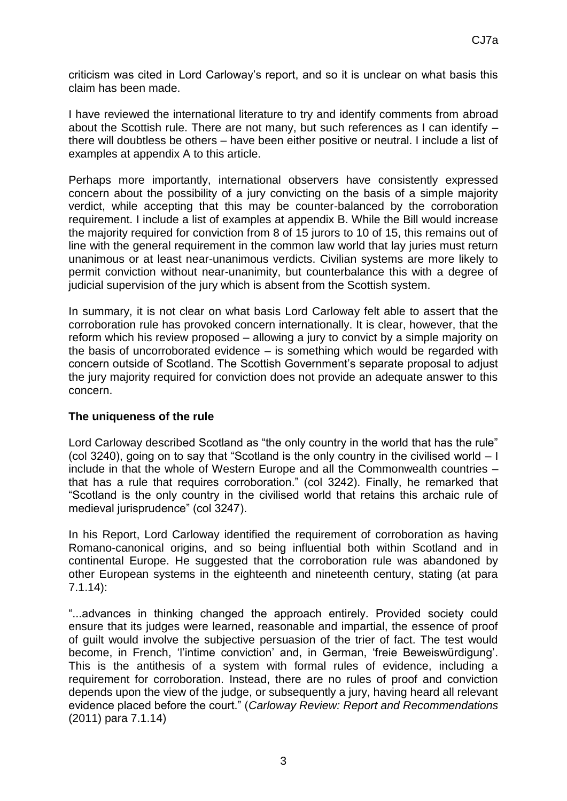criticism was cited in Lord Carloway's report, and so it is unclear on what basis this claim has been made.

I have reviewed the international literature to try and identify comments from abroad about the Scottish rule. There are not many, but such references as I can identify – there will doubtless be others – have been either positive or neutral. I include a list of examples at appendix A to this article.

Perhaps more importantly, international observers have consistently expressed concern about the possibility of a jury convicting on the basis of a simple majority verdict, while accepting that this may be counter-balanced by the corroboration requirement. I include a list of examples at appendix B. While the Bill would increase the majority required for conviction from 8 of 15 jurors to 10 of 15, this remains out of line with the general requirement in the common law world that lay juries must return unanimous or at least near-unanimous verdicts. Civilian systems are more likely to permit conviction without near-unanimity, but counterbalance this with a degree of judicial supervision of the jury which is absent from the Scottish system.

In summary, it is not clear on what basis Lord Carloway felt able to assert that the corroboration rule has provoked concern internationally. It is clear, however, that the reform which his review proposed – allowing a jury to convict by a simple majority on the basis of uncorroborated evidence – is something which would be regarded with concern outside of Scotland. The Scottish Government's separate proposal to adjust the jury majority required for conviction does not provide an adequate answer to this concern.

### **The uniqueness of the rule**

Lord Carloway described Scotland as "the only country in the world that has the rule" (col 3240), going on to say that "Scotland is the only country in the civilised world – I include in that the whole of Western Europe and all the Commonwealth countries – that has a rule that requires corroboration." (col 3242). Finally, he remarked that "Scotland is the only country in the civilised world that retains this archaic rule of medieval jurisprudence" (col 3247).

In his Report, Lord Carloway identified the requirement of corroboration as having Romano-canonical origins, and so being influential both within Scotland and in continental Europe. He suggested that the corroboration rule was abandoned by other European systems in the eighteenth and nineteenth century, stating (at para 7.1.14):

"...advances in thinking changed the approach entirely. Provided society could ensure that its judges were learned, reasonable and impartial, the essence of proof of guilt would involve the subjective persuasion of the trier of fact. The test would become, in French, 'l'intime conviction' and, in German, 'freie Beweiswürdigung'. This is the antithesis of a system with formal rules of evidence, including a requirement for corroboration. Instead, there are no rules of proof and conviction depends upon the view of the judge, or subsequently a jury, having heard all relevant evidence placed before the court." (*Carloway Review: Report and Recommendations*  (2011) para 7.1.14)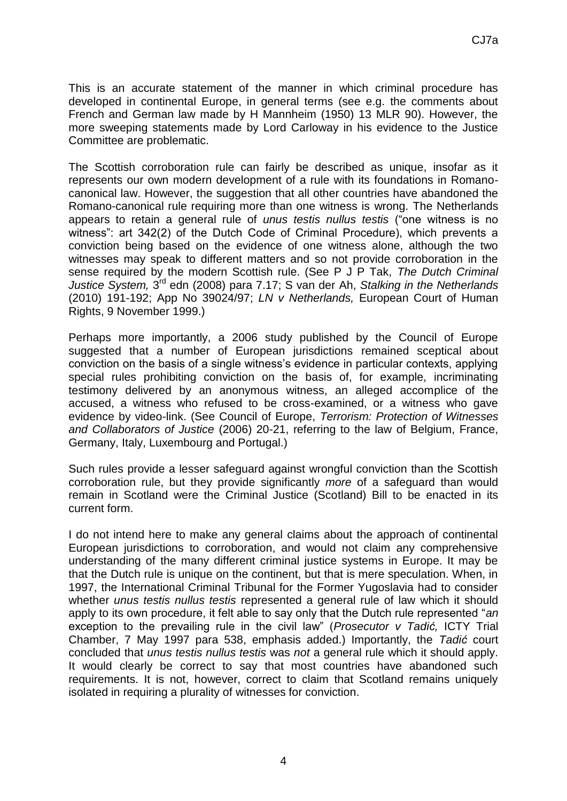This is an accurate statement of the manner in which criminal procedure has developed in continental Europe, in general terms (see e.g. the comments about French and German law made by H Mannheim (1950) 13 MLR 90). However, the more sweeping statements made by Lord Carloway in his evidence to the Justice Committee are problematic.

The Scottish corroboration rule can fairly be described as unique, insofar as it represents our own modern development of a rule with its foundations in Romanocanonical law. However, the suggestion that all other countries have abandoned the Romano-canonical rule requiring more than one witness is wrong. The Netherlands appears to retain a general rule of *unus testis nullus testis* ("one witness is no witness": art 342(2) of the Dutch Code of Criminal Procedure), which prevents a conviction being based on the evidence of one witness alone, although the two witnesses may speak to different matters and so not provide corroboration in the sense required by the modern Scottish rule. (See P J P Tak, *The Dutch Criminal*  Justice System, 3<sup>rd</sup> edn (2008) para 7.17; S van der Ah, Stalking in the Netherlands (2010) 191-192; App No 39024/97; *LN v Netherlands,* European Court of Human Rights, 9 November 1999.)

Perhaps more importantly, a 2006 study published by the Council of Europe suggested that a number of European jurisdictions remained sceptical about conviction on the basis of a single witness's evidence in particular contexts, applying special rules prohibiting conviction on the basis of, for example, incriminating testimony delivered by an anonymous witness, an alleged accomplice of the accused, a witness who refused to be cross-examined, or a witness who gave evidence by video-link. (See Council of Europe, *Terrorism: Protection of Witnesses and Collaborators of Justice* (2006) 20-21, referring to the law of Belgium, France, Germany, Italy, Luxembourg and Portugal.)

Such rules provide a lesser safeguard against wrongful conviction than the Scottish corroboration rule, but they provide significantly *more* of a safeguard than would remain in Scotland were the Criminal Justice (Scotland) Bill to be enacted in its current form.

I do not intend here to make any general claims about the approach of continental European jurisdictions to corroboration, and would not claim any comprehensive understanding of the many different criminal justice systems in Europe. It may be that the Dutch rule is unique on the continent, but that is mere speculation. When, in 1997, the International Criminal Tribunal for the Former Yugoslavia had to consider whether *unus testis nullus testis* represented a general rule of law which it should apply to its own procedure, it felt able to say only that the Dutch rule represented "*an*  exception to the prevailing rule in the civil law" (*Prosecutor v Tadić,* ICTY Trial Chamber, 7 May 1997 para 538, emphasis added.) Importantly, the *Tadić* court concluded that *unus testis nullus testis* was *not* a general rule which it should apply. It would clearly be correct to say that most countries have abandoned such requirements. It is not, however, correct to claim that Scotland remains uniquely isolated in requiring a plurality of witnesses for conviction.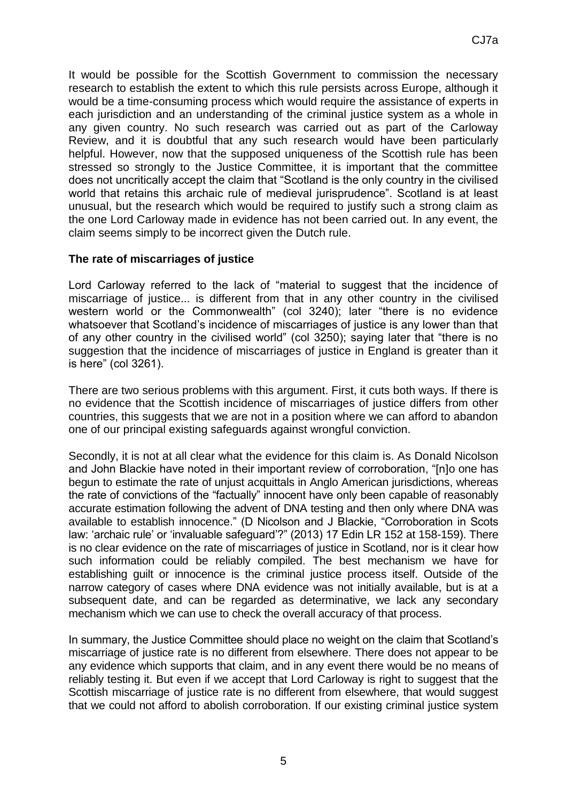It would be possible for the Scottish Government to commission the necessary research to establish the extent to which this rule persists across Europe, although it would be a time-consuming process which would require the assistance of experts in each jurisdiction and an understanding of the criminal justice system as a whole in any given country. No such research was carried out as part of the Carloway Review, and it is doubtful that any such research would have been particularly helpful. However, now that the supposed uniqueness of the Scottish rule has been stressed so strongly to the Justice Committee, it is important that the committee does not uncritically accept the claim that "Scotland is the only country in the civilised world that retains this archaic rule of medieval jurisprudence". Scotland is at least unusual, but the research which would be required to justify such a strong claim as the one Lord Carloway made in evidence has not been carried out. In any event, the claim seems simply to be incorrect given the Dutch rule.

### **The rate of miscarriages of justice**

Lord Carloway referred to the lack of "material to suggest that the incidence of miscarriage of justice... is different from that in any other country in the civilised western world or the Commonwealth" (col 3240); later "there is no evidence whatsoever that Scotland's incidence of miscarriages of justice is any lower than that of any other country in the civilised world" (col 3250); saying later that "there is no suggestion that the incidence of miscarriages of justice in England is greater than it is here" (col 3261).

There are two serious problems with this argument. First, it cuts both ways. If there is no evidence that the Scottish incidence of miscarriages of justice differs from other countries, this suggests that we are not in a position where we can afford to abandon one of our principal existing safeguards against wrongful conviction.

Secondly, it is not at all clear what the evidence for this claim is. As Donald Nicolson and John Blackie have noted in their important review of corroboration, "[n]o one has begun to estimate the rate of unjust acquittals in Anglo American jurisdictions, whereas the rate of convictions of the "factually" innocent have only been capable of reasonably accurate estimation following the advent of DNA testing and then only where DNA was available to establish innocence." (D Nicolson and J Blackie, "Corroboration in Scots law: 'archaic rule' or 'invaluable safeguard'?" (2013) 17 Edin LR 152 at 158-159). There is no clear evidence on the rate of miscarriages of justice in Scotland, nor is it clear how such information could be reliably compiled. The best mechanism we have for establishing guilt or innocence is the criminal justice process itself. Outside of the narrow category of cases where DNA evidence was not initially available, but is at a subsequent date, and can be regarded as determinative, we lack any secondary mechanism which we can use to check the overall accuracy of that process.

In summary, the Justice Committee should place no weight on the claim that Scotland's miscarriage of justice rate is no different from elsewhere. There does not appear to be any evidence which supports that claim, and in any event there would be no means of reliably testing it. But even if we accept that Lord Carloway is right to suggest that the Scottish miscarriage of justice rate is no different from elsewhere, that would suggest that we could not afford to abolish corroboration. If our existing criminal justice system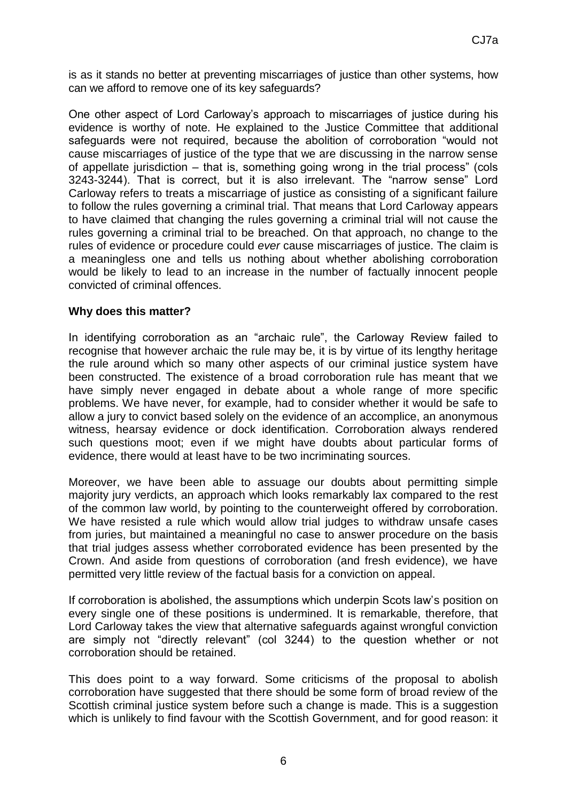is as it stands no better at preventing miscarriages of justice than other systems, how can we afford to remove one of its key safeguards?

One other aspect of Lord Carloway's approach to miscarriages of justice during his evidence is worthy of note. He explained to the Justice Committee that additional safeguards were not required, because the abolition of corroboration "would not cause miscarriages of justice of the type that we are discussing in the narrow sense of appellate jurisdiction – that is, something going wrong in the trial process" (cols 3243-3244). That is correct, but it is also irrelevant. The "narrow sense" Lord Carloway refers to treats a miscarriage of justice as consisting of a significant failure to follow the rules governing a criminal trial. That means that Lord Carloway appears to have claimed that changing the rules governing a criminal trial will not cause the rules governing a criminal trial to be breached. On that approach, no change to the rules of evidence or procedure could *ever* cause miscarriages of justice. The claim is a meaningless one and tells us nothing about whether abolishing corroboration would be likely to lead to an increase in the number of factually innocent people convicted of criminal offences.

### **Why does this matter?**

In identifying corroboration as an "archaic rule", the Carloway Review failed to recognise that however archaic the rule may be, it is by virtue of its lengthy heritage the rule around which so many other aspects of our criminal justice system have been constructed. The existence of a broad corroboration rule has meant that we have simply never engaged in debate about a whole range of more specific problems. We have never, for example, had to consider whether it would be safe to allow a jury to convict based solely on the evidence of an accomplice, an anonymous witness, hearsay evidence or dock identification. Corroboration always rendered such questions moot; even if we might have doubts about particular forms of evidence, there would at least have to be two incriminating sources.

Moreover, we have been able to assuage our doubts about permitting simple majority jury verdicts, an approach which looks remarkably lax compared to the rest of the common law world, by pointing to the counterweight offered by corroboration. We have resisted a rule which would allow trial judges to withdraw unsafe cases from juries, but maintained a meaningful no case to answer procedure on the basis that trial judges assess whether corroborated evidence has been presented by the Crown. And aside from questions of corroboration (and fresh evidence), we have permitted very little review of the factual basis for a conviction on appeal.

If corroboration is abolished, the assumptions which underpin Scots law's position on every single one of these positions is undermined. It is remarkable, therefore, that Lord Carloway takes the view that alternative safeguards against wrongful conviction are simply not "directly relevant" (col 3244) to the question whether or not corroboration should be retained.

This does point to a way forward. Some criticisms of the proposal to abolish corroboration have suggested that there should be some form of broad review of the Scottish criminal justice system before such a change is made. This is a suggestion which is unlikely to find favour with the Scottish Government, and for good reason: it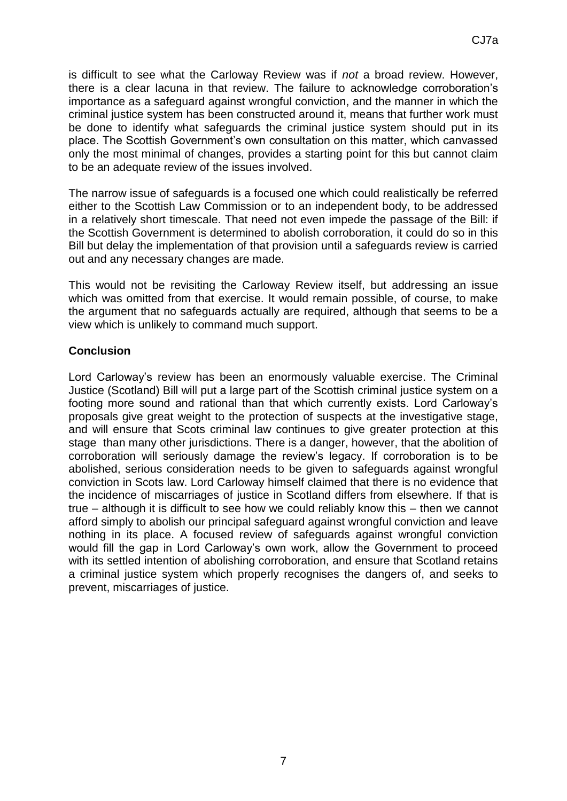is difficult to see what the Carloway Review was if *not* a broad review. However, there is a clear lacuna in that review. The failure to acknowledge corroboration's importance as a safeguard against wrongful conviction, and the manner in which the criminal justice system has been constructed around it, means that further work must be done to identify what safeguards the criminal justice system should put in its place. The Scottish Government's own consultation on this matter, which canvassed only the most minimal of changes, provides a starting point for this but cannot claim to be an adequate review of the issues involved.

The narrow issue of safeguards is a focused one which could realistically be referred either to the Scottish Law Commission or to an independent body, to be addressed in a relatively short timescale. That need not even impede the passage of the Bill: if the Scottish Government is determined to abolish corroboration, it could do so in this Bill but delay the implementation of that provision until a safeguards review is carried out and any necessary changes are made.

This would not be revisiting the Carloway Review itself, but addressing an issue which was omitted from that exercise. It would remain possible, of course, to make the argument that no safeguards actually are required, although that seems to be a view which is unlikely to command much support.

## **Conclusion**

Lord Carloway's review has been an enormously valuable exercise. The Criminal Justice (Scotland) Bill will put a large part of the Scottish criminal justice system on a footing more sound and rational than that which currently exists. Lord Carloway's proposals give great weight to the protection of suspects at the investigative stage, and will ensure that Scots criminal law continues to give greater protection at this stage than many other jurisdictions. There is a danger, however, that the abolition of corroboration will seriously damage the review's legacy. If corroboration is to be abolished, serious consideration needs to be given to safeguards against wrongful conviction in Scots law. Lord Carloway himself claimed that there is no evidence that the incidence of miscarriages of justice in Scotland differs from elsewhere. If that is true – although it is difficult to see how we could reliably know this – then we cannot afford simply to abolish our principal safeguard against wrongful conviction and leave nothing in its place. A focused review of safeguards against wrongful conviction would fill the gap in Lord Carloway's own work, allow the Government to proceed with its settled intention of abolishing corroboration, and ensure that Scotland retains a criminal justice system which properly recognises the dangers of, and seeks to prevent, miscarriages of justice.